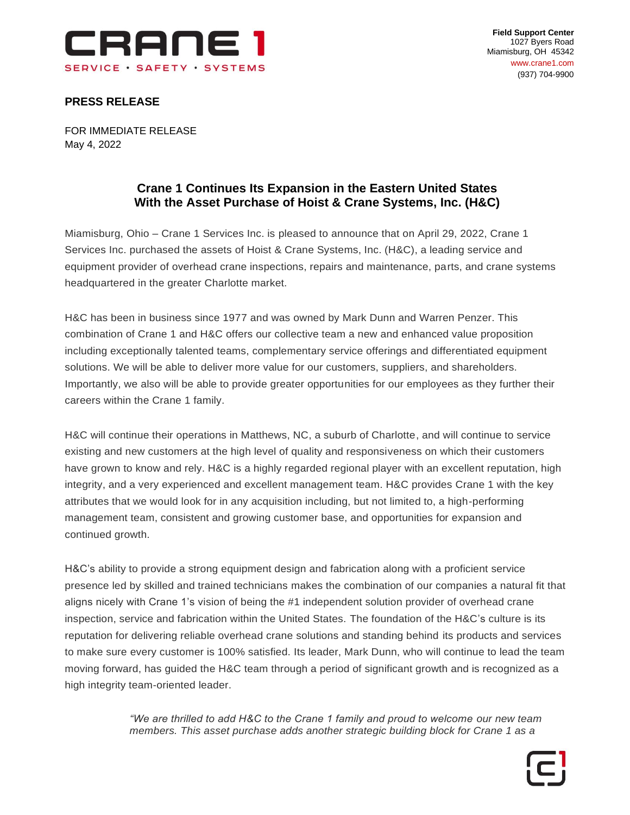

**Field Support Center** 1027 Byers Road Miamisburg, OH 45342 www.crane1.com (937) 704-9900

## **PRESS RELEASE**

FOR IMMEDIATE RELEASE May 4, 2022

# **Crane 1 Continues Its Expansion in the Eastern United States With the Asset Purchase of Hoist & Crane Systems, Inc. (H&C)**

Miamisburg, Ohio – Crane 1 Services Inc. is pleased to announce that on April 29, 2022, Crane 1 Services Inc. purchased the assets of Hoist & Crane Systems, Inc. (H&C), a leading service and equipment provider of overhead crane inspections, repairs and maintenance, parts, and crane systems headquartered in the greater Charlotte market.

H&C has been in business since 1977 and was owned by Mark Dunn and Warren Penzer. This combination of Crane 1 and H&C offers our collective team a new and enhanced value proposition including exceptionally talented teams, complementary service offerings and differentiated equipment solutions. We will be able to deliver more value for our customers, suppliers, and shareholders. Importantly, we also will be able to provide greater opportunities for our employees as they further their careers within the Crane 1 family.

H&C will continue their operations in Matthews, NC, a suburb of Charlotte, and will continue to service existing and new customers at the high level of quality and responsiveness on which their customers have grown to know and rely. H&C is a highly regarded regional player with an excellent reputation, high integrity, and a very experienced and excellent management team. H&C provides Crane 1 with the key attributes that we would look for in any acquisition including, but not limited to, a high-performing management team, consistent and growing customer base, and opportunities for expansion and continued growth.

H&C's ability to provide a strong equipment design and fabrication along with a proficient service presence led by skilled and trained technicians makes the combination of our companies a natural fit that aligns nicely with Crane 1's vision of being the #1 independent solution provider of overhead crane inspection, service and fabrication within the United States. The foundation of the H&C's culture is its reputation for delivering reliable overhead crane solutions and standing behind its products and services to make sure every customer is 100% satisfied. Its leader, Mark Dunn, who will continue to lead the team moving forward, has guided the H&C team through a period of significant growth and is recognized as a high integrity team-oriented leader.

> *"We are thrilled to add H&C to the Crane 1 family and proud to welcome our new team members. This asset purchase adds another strategic building block for Crane 1 as a*

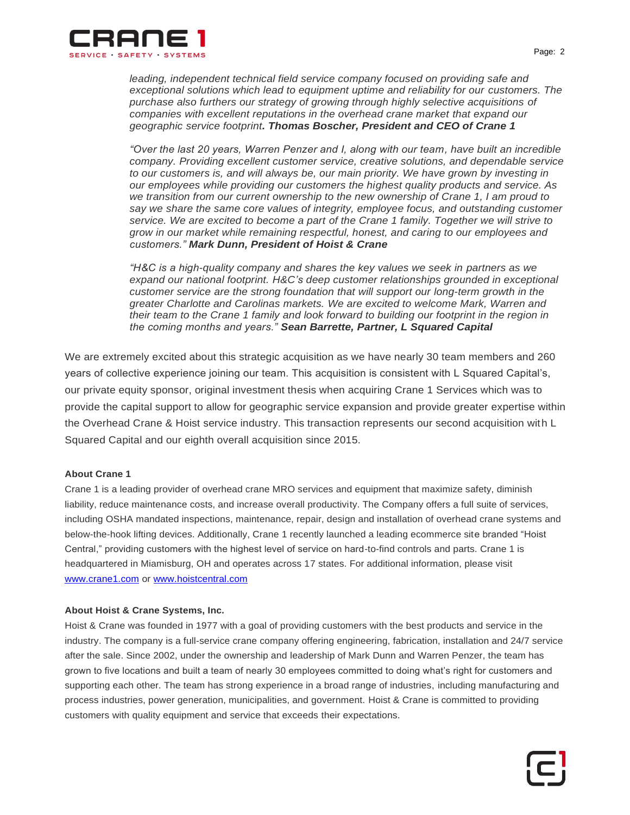

*leading, independent technical field service company focused on providing safe and exceptional solutions which lead to equipment uptime and reliability for our customers. The purchase also furthers our strategy of growing through highly selective acquisitions of companies with excellent reputations in the overhead crane market that expand our geographic service footprint. Thomas Boscher, President and CEO of Crane 1*

*"Over the last 20 years, Warren Penzer and I, along with our team, have built an incredible company. Providing excellent customer service, creative solutions, and dependable service to our customers is, and will always be, our main priority. We have grown by investing in our employees while providing our customers the highest quality products and service. As we transition from our current ownership to the new ownership of Crane 1, I am proud to say we share the same core values of integrity, employee focus, and outstanding customer service. We are excited to become a part of the Crane 1 family. Together we will strive to grow in our market while remaining respectful, honest, and caring to our employees and customers." Mark Dunn, President of Hoist & Crane*

*"H&C is a high-quality company and shares the key values we seek in partners as we expand our national footprint. H&C's deep customer relationships grounded in exceptional customer service are the strong foundation that will support our long-term growth in the greater Charlotte and Carolinas markets. We are excited to welcome Mark, Warren and their team to the Crane 1 family and look forward to building our footprint in the region in the coming months and years." Sean Barrette, Partner, L Squared Capital*

We are extremely excited about this strategic acquisition as we have nearly 30 team members and 260 years of collective experience joining our team. This acquisition is consistent with L Squared Capital's, our private equity sponsor, original investment thesis when acquiring Crane 1 Services which was to provide the capital support to allow for geographic service expansion and provide greater expertise within the Overhead Crane & Hoist service industry. This transaction represents our second acquisition with L Squared Capital and our eighth overall acquisition since 2015.

## **About Crane 1**

Crane 1 is a leading provider of overhead crane MRO services and equipment that maximize safety, diminish liability, reduce maintenance costs, and increase overall productivity. The Company offers a full suite of services, including OSHA mandated inspections, maintenance, repair, design and installation of overhead crane systems and below-the-hook lifting devices. Additionally, Crane 1 recently launched a leading ecommerce site branded "Hoist Central," providing customers with the highest level of service on hard-to-find controls and parts. Crane 1 is headquartered in Miamisburg, OH and operates across 17 states. For additional information, please visit [www.crane1.com](http://www.crane1.com/) or [www.hoistcentral.com](http://www.hoistcentral.com/)

#### **About Hoist & Crane Systems, Inc.**

Hoist & Crane was founded in 1977 with a goal of providing customers with the best products and service in the industry. The company is a full-service crane company offering engineering, fabrication, installation and 24/7 service after the sale. Since 2002, under the ownership and leadership of Mark Dunn and Warren Penzer, the team has grown to five locations and built a team of nearly 30 employees committed to doing what's right for customers and supporting each other. The team has strong experience in a broad range of industries, including manufacturing and process industries, power generation, municipalities, and government. Hoist & Crane is committed to providing customers with quality equipment and service that exceeds their expectations.